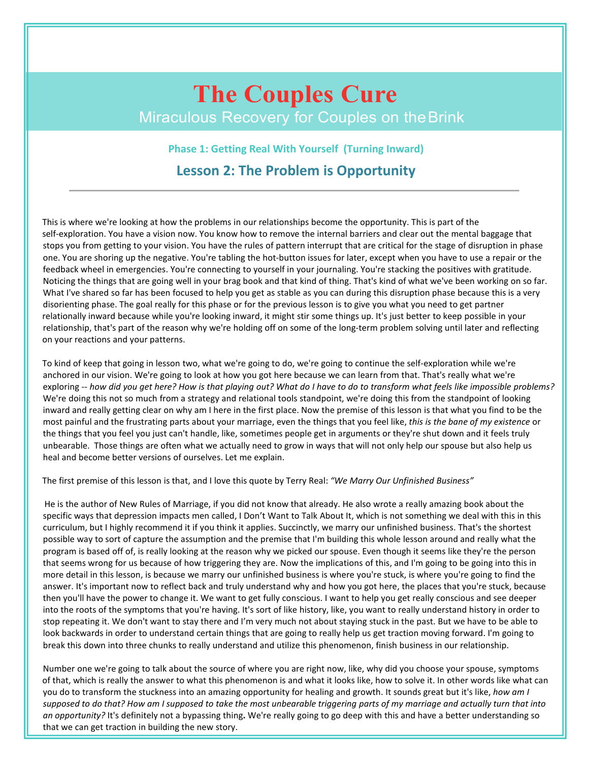# **The Couples Cure** Miraculous Recovery for Couples on theBrink

**Phase 1: Getting Real With Yourself (Turning Inward) Lesson 2: The Problem is Opportunity**

This is where we're looking at how the problems in our relationships become the opportunity. This is part of the self-exploration. You have a vision now. You know how to remove the internal barriers and clear out the mental baggage that stops you from getting to your vision. You have the rules of pattern interrupt that are critical for the stage of disruption in phase one. You are shoring up the negative. You're tabling the hot-button issues for later, except when you have to use a repair or the feedback wheel in emergencies. You're connecting to yourself in your journaling. You're stacking the positives with gratitude. Noticing the things that are going well in your brag book and that kind of thing. That's kind of what we've been working on so far. What I've shared so far has been focused to help you get as stable as you can during this disruption phase because this is a very disorienting phase. The goal really for this phase or for the previous lesson is to give you what you need to get partner relationally inward because while you're looking inward, it might stir some things up. It's just better to keep possible in your relationship, that's part of the reason why we're holding off on some of the long-term problem solving until later and reflecting on your reactions and your patterns.

To kind of keep that going in lesson two, what we're going to do, we're going to continue the self-exploration while we're anchored in our vision. We're going to look at how you got here because we can learn from that. That's really what we're exploring -- how did you get here? How is that playing out? What do I have to do to transform what feels like impossible problems? We're doing this not so much from a strategy and relational tools standpoint, we're doing this from the standpoint of looking inward and really getting clear on why am I here in the first place. Now the premise of this lesson is that what you find to be the most painful and the frustrating parts about your marriage, even the things that you feel like, *this is the bane ofmy existence* or the things that you feel you just can't handle, like, sometimes people get in arguments or they're shut down and it feels truly unbearable. Those things are often what we actually need to grow in ways that will not only help our spouse but also help us heal and become better versions of ourselves. Let me explain.

The first premise of this lesson is that, and I love this quote by Terry Real: *"We Marry Our Unfinished Business"*

He is the author of New Rules of Marriage, if you did not know that already. He also wrote a really amazing book about the specific ways that depression impacts men called, I Don't Want to Talk About It, which is not something we deal with this in this curriculum, but I highly recommend it if you think it applies. Succinctly, we marry our unfinished business. That's the shortest possible way to sort of capture the assumption and the premise that I'm building this whole lesson around and really what the program is based off of, is really looking at the reason why we picked our spouse. Even though it seems like they're the person that seems wrong for us because of how triggering they are. Now the implications of this, and I'm going to be going into this in more detail in this lesson, is because we marry our unfinished business is where you're stuck, is where you're going to find the answer. It's important now to reflect back and truly understand why and how you got here, the places that you're stuck, because then you'll have the power to change it. We want to get fully conscious. I want to help you get really conscious and see deeper into the roots of the symptoms that you're having. It's sort of like history, like, you want to really understand history in order to stop repeating it. We don't want to stay there and I'm very much not about staying stuck in the past. But we have to be able to look backwards in order to understand certain things that are going to really help us get traction moving forward. I'm going to break this down into three chunks to really understand and utilize this phenomenon, finish business in our relationship.

Number one we're going to talk about the source of where you are right now, like, why did you choose your spouse, symptoms of that, which is really the answer to what this phenomenon is and what it looks like, how to solve it. In other words like what can you do to transform the stuckness into an amazing opportunity for healing and growth. It sounds great but it's like, *how am I* supposed to do that? How am I supposed to take the most unbearable triggering parts of my marriage and actually turn that into *an opportunity?* It's definitely not a bypassing thing**.** We're really going to go deep with this and have a better understanding so that we can get traction in building the new story.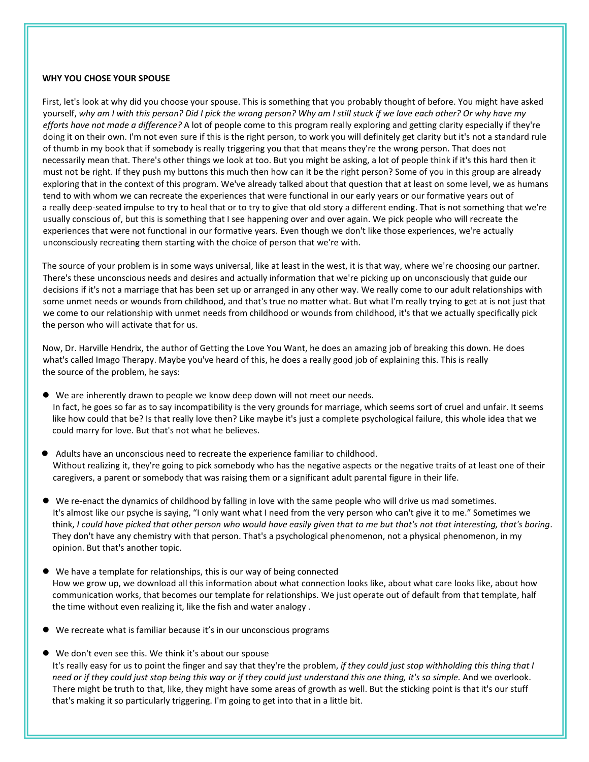## **WHY YOU CHOSEYOUR SPOUSE**

First, let's look at why did you choose your spouse. This is something that you probably thought of before. You might have asked yourself, why am I with this person? Did I pick the wrong person? Why am I still stuck if we love each other? Or why have my *efforts have not made a difference?* A lot of people come to this program really exploring and getting clarity especially if they're doing it on their own. I'm not even sure if this is the right person, to work you will definitely get clarity but it's not a standard rule of thumb in my book that if somebody is really triggering you that that means they're the wrong person. That does not necessarily mean that. There's other things we look attoo. But you might be asking, a lot of people think if it's this hard then it must not be right. If they push my buttons this much then how can it be the right person? Some of you in this group are already exploring that in the context of this program. We've already talked about that question that at least on some level, we as humans tend to with whom we can recreate the experiences that were functional in our early years or our formative years out of a really deep-seated impulse to try to heal that or to try to give that old story a different ending. That is not something that we're usually conscious of, but this is something that I see happening over and over again. We pick people who will recreate the experiences that were not functional in our formative years. Even though we don't like those experiences, we're actually unconsciously recreating them starting with the choice of person that we're with.

The source of your problem is in some ways universal, like at least in the west, it is that way, where we're choosing our partner. There's these unconscious needs and desires and actually information that we're picking up on unconsciously that guide our decisions if it's not a marriage that has been set up or arranged in any other way. We really come to our adult relationships with some unmet needs or wounds from childhood, and that's true no matter what. But what I'm really trying to get at is not just that we come to our relationship with unmet needs from childhood or wounds from childhood, it's that we actually specifically pick

the person who will activate that for us.<br>Now, Dr. Harville Hendrix, the author of Getting the Love You Want, he does an amazing job of breaking this down. He does what's called Imago Therapy. Maybe you've heard of this, he does a really good job of explaining this. This is really the source of the problem, he says:

- We are inherently drawn to people we know deep down will not meet our needs. In fact, he goes so far as to say incompatibility is the very grounds for marriage, which seems sort of cruel and unfair. It seems like how could that be? Is that really love then? Like maybe it's justa complete psychological failure, this whole idea that we could marry for love. But that's not what he believes.
- Adults have an unconscious need to recreate the experience familiar to childhood. Without realizing it, they're going to pick somebody who has the negative aspects or the negative traits of at least one of their caregivers, a parent or somebody that was raising them or a significant adult parental figure in their life.
- We re-enact the dynamics of childhood by falling in love with the same people who will drive us mad sometimes. It's almost like our psyche is saying, "I only want what I need from the very person who can't give it to me." Sometimes we think, I could have picked that other person who would have easily given that to me but that's not that interesting, that's boring. They don't have any chemistry with that person. That's a psychological phenomenon, not a physical phenomenon, in my opinion. But that's another topic.
- We have a template for relationships, this is our way of being connected How we grow up, we download all this information about what connection looks like, about what care looks like, about how communication works, that becomes our template for relationships. We just operate out of default from that template, half the time without even realizing it, like the fish and water analogy .
- We recreate what is familiar because it's in our unconscious programs
- We don't even see this. We think it's about our spouse It's really easy for us to point the finger and say that they're the problem, *if they could just stop withholding this thing that I* need or if they could just stop being this way or if they could just understand this one thing, it's so simple. And we overlook. There might be truth to that, like, they might have some areas of growth as well. But the sticking point is that it's our stuff that's making it so particularly triggering. I'm going to get into thatin a little bit.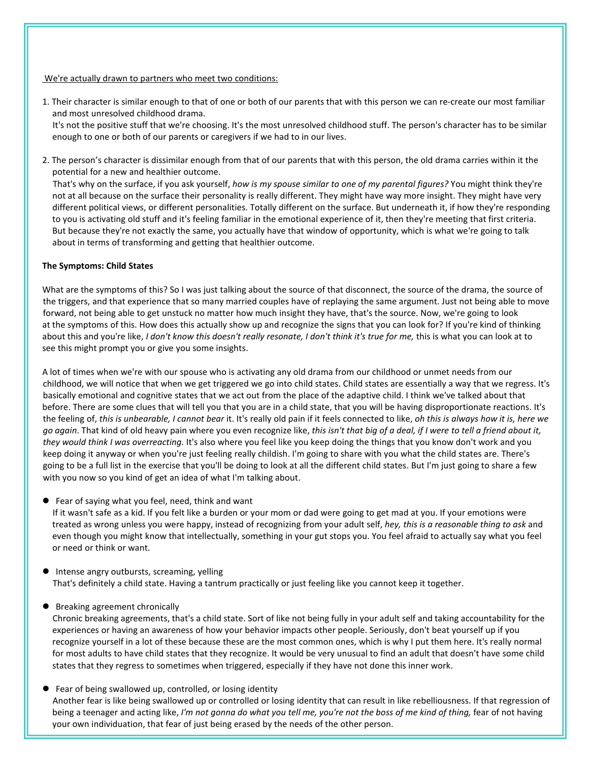## We're actually drawn to partners who meet two conditions:

- 1. Their character is similar enough to that of one or both of our parents that with this person we can re-create our most familiar and most unresolved childhood drama. It's not the positive stuff that we're choosing. It's the most unresolved childhood stuff. The person's character has to be similar enough to one or both of our parents or caregivers if we had to in our lives.
- 2. The person's character is dissimilar enough from that of our parents that with this person, the old drama carries within it the potential for a new and healthier outcome.

That's why on the surface, if you ask yourself, *how is my spouse similar to one of my parental figures?* You might think they're not at all because on the surface their personality is really different. They might have way more insight. They might have very different political views, or different personalities. Totally different on the surface. But underneath it, if how they're responding to you is activating old stuff and it's feeling familiar in the emotional experience of it, then they're meeting that first criteria. But because they're not exactly the same, you actually have that window of opportunity, which is what we're going to talk about in terms of transforming and getting that healthier outcome.

## **The Symptoms: Child States**

What are the symptoms of this? So I was just talking about the source of that disconnect, the source of the drama, the source of the triggers, and that experience that so many married couples have of replaying the same argument. Just not being able to move forward, not being able to get unstuck no matter how much insight they have, that's the source. Now, we're going to look at the symptoms of this. How does this actually show up and recognize the signs that you can look for? If you're kind of thinking about this and you're like, *Idon't know this doesn't really resonate, I don't think it's true for me,*this is what you can look at to see this might prompt you or give you some insights.

A lot of times when we're with our spouse who is activating any old drama from our childhood or unmet needs from our childhood, we will notice that when we get triggered we go into child states. Child states are essentially a way that we regress. It's basically emotional and cognitive states that we act out from the place of the adaptive child. I think we've talked about that before. There are some clues that will tell you that you are in a child state, that you will be having disproportionate reactions. It's the feeling of, this is unbearable, I cannot bear it. It's really old pain if it feels connected to like, oh this is always how it is, here we go again. That kind of old heavy pain where you even recognize like, this isn't that big of a deal, if I were to tell a friend about it, *they would think I was overreacting.* It's also where you feel like you keep doing the things that you know don't work and you keep doing it anyway or when you're just feeling really childish. I'm going to share with you what the child states are. There's going to be a fulllist in the exercise that you'll be doing to look at all the different child states. But I'm just going to share a few with you now so you kind of get an idea of what I'm talking about.

Fear of saying what you feel, need, think and want

If it wasn't safe as a kid. If you felt like a burden or your mom or dad were going to get mad at you. If your emotions were treated as wrong unless you were happy, instead of recognizing from your adult self, *hey, this is a reasonable thing to ask* and even though you might know that intellectually, something in your gut stops you. You feel afraid to actually say what you feel or need or think or want.

**Intense angry outbursts, screaming, yelling** That's definitely a child state. Having a tantrum practically or just feeling like you cannot keep it together.

# ● Breaking agreement chronically

Chronic breaking agreements, that's a child state. Sort of like not being fully in your adult self and taking accountability for the experiences or having an awareness of how your behavior impacts other people. Seriously, don't beat yourself up if you recognize yourself in a lot of these because these are the most common ones, which is why I put them here. It's really normal for most adults to have child states that they recognize. It would be very unusual to find an adult that doesn't have some child states that they regress to sometimes when triggered, especially if they have not done this inner work.

 Fear of being swallowed up, controlled, or losing identity Another fear is like being swallowed up or controlled or losing identity that can result in like rebelliousness. If that regression of being a teenager and acting like, I'm not gonna do what you tell me, you're not the boss of me kind of thing, fear of not having your own individuation, that fear of just being erased by the needs of the other person.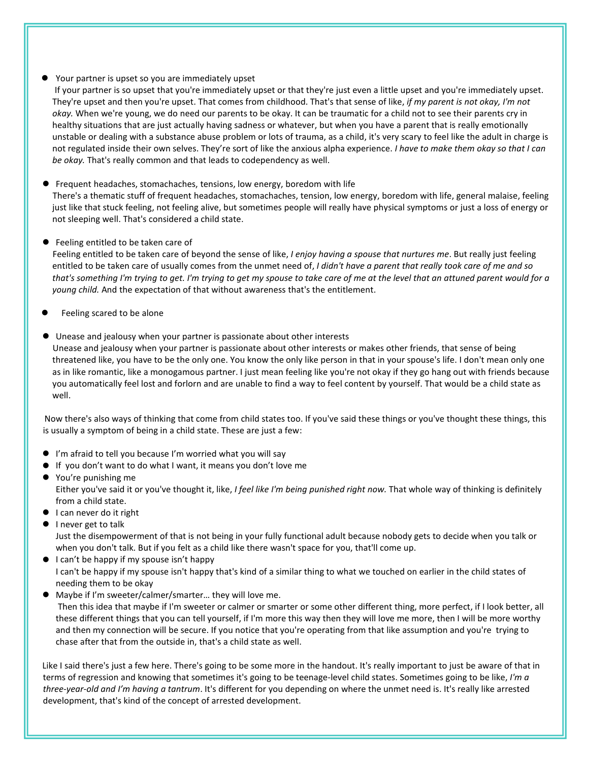# Your partner is upset so you are immediately upset

If your partner is so upset that you're immediately upset or that they're just even a little upset and you're immediately upset. They're upset and then you're upset. That comes from childhood. That's that sense of like, *if my parent is not okay, I'm not okay.* When we're young, we do need our parents to be okay. It can be traumatic fora child not to see their parents cry in healthy situations that are just actually having sadness or whatever, but when you have a parent that is really emotionally unstable or dealing with a substance abuse problem or lots of trauma, as a child, it's very scary to feel like the adult in charge is not regulated inside their own selves. They're sort of like the anxious alpha experience. *I have to make them okay so that I can be okay.* That's really common and that leads to codependency as well.

Frequent headaches, stomachaches, tensions, low energy, boredom with life

There's a thematic stuff of frequent headaches, stomachaches, tension, low energy, boredom with life, general malaise, feeling just like that stuck feeling, not feeling alive, but sometimes people will really have physical symptoms or just a loss of energy or not sleeping well. That's considered a child state.

# ● Feeling entitled to be taken care of

Feeling entitled to be taken care of beyond the sense oflike, *I enjoy having a spouse that nurtures me*. But really just feeling entitled to be taken care of usually comes from the unmet need of, *I didn't have a parent that really took care of me and so* that's something I'm trying to get. I'm trying to get my spouse to take care of me at the level that an attuned parent would for a *young child.* And the expectation of that without awareness that's the entitlement.

- Feeling scared to be alone
- Unease and jealousy when your partner is passionate about other interests

Unease and jealousy when your partner is passionate about other interests or makes other friends, that sense of being threatened like, you have to be the only one. You know the only like person in that in your spouse's life. I don't mean only one as in like romantic, like a monogamous partner. I just mean feeling like you're not okay if they go hang out with friends because you automatically feel lost and forlorn and are unable to find a way to feel content by yourself. That would be a child state as well.

Now there's also ways of thinking that come from child states too. If you've said these things or you've thought these things, this is usually a symptom of being in a child state. These are just a few:

- $\bullet$  I'm afraid to tell you because I'm worried what you will say
- $\bullet$  If you don't want to do what I want, it means you don't love me
- You're punishing me Either you've said it or you've thought it, like, *I feel like I'm being punished right now.* That whole way of thinking is definitely from a child state.
- $\bullet$  I can never do it right
- I never get to talk

Just the disempowerment of that is not being in your fully functional adult because nobody gets to decide when you talk or when you don't talk. But if you felt as a child like there wasn't space for you, that'll come up.

- I can't be happy if my spouse isn't happy I can't be happy if my spouse isn't happy that's kind of a similar thing to what we touched on earlier in the child states of needing them to be okay
- Maybe if I'm sweeter/calmer/smarter... they will love me.

Then this idea that maybe if I'm sweeter or calmer or smarter or some other different thing, more perfect, if I look better, all these different things that you can tell yourself, if I'm more this way then they will love me more, then I will be more worthy and then myconnection will be secure. If you notice that you're operating from that like assumption and you're trying to chase after that from the outside in, that's a child state as well.

Like I said there's just a few here. There's going to be some more in the handout. It's really important to just be aware of that in terms of regression and knowing that sometimes it's going to be teenage-level child states. Sometimes going to be like, *I'm a three-year-old and I'm having a tantrum*. It's different for you depending on where the unmet need is. It'sreally like arrested development, that's kind of the concept of arrested development.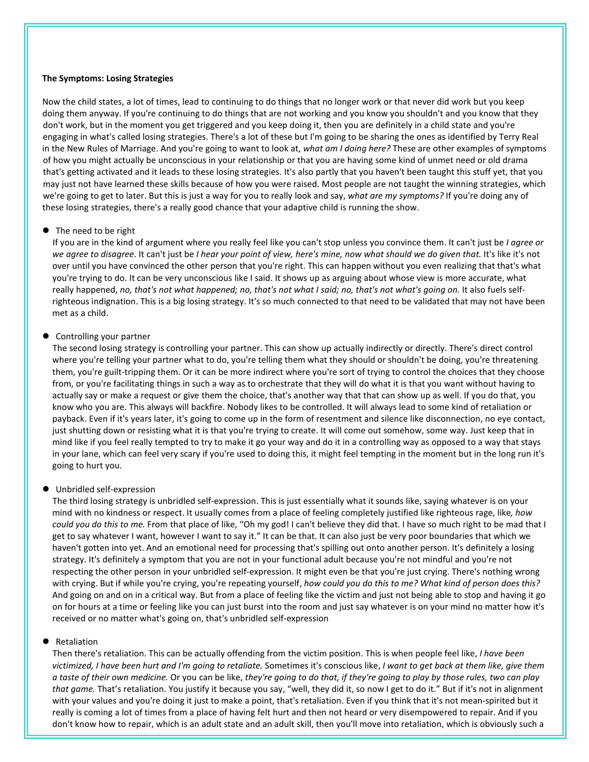### **The Symptoms: Losing Strategies**

Now the child states, a lot of times, lead to continuing to do things that no longer work or that never did work but you keep doing them anyway. If you're continuing to do things that are not working and you know you shouldn't and you know that they don't work, but in the moment you get triggered and you keep doing it, then you are definitely in a child state and you're engaging in what's called losing strategies. There's a lot of these but I'm going to be sharing the ones as identified by Terry Real in the New Rules of Marriage. And you're going to want to look at, *what am I doing here?* These are other examples of symptoms of how you might actually be unconscious in your relationship or that you are having some kind of unmet need or old drama that's getting activated and it leads to these losing strategies. It's also partly that you haven't been taught this stuff yet, that you may just not have learned these skills because of how you were raised. Most people are not taught the winning strategies, which we're going to getto later. But this is just a way for you to really look and say, *what are my symptoms?* If you're doing any of these losing strategies, there's a really good chance that your adaptive child is running the show.

#### The need to be right

If you are in the kind of argument where you really feel like you can't stop unless you convince them. It can't just be *I agree or* we agree to disagree. It can't just be I hear your point of view, here's mine, now what should we do given that. It's like it's not over until you have convinced the other person that you're right. This can happen without you even realizing that that's what you're trying to do. It can be very unconscious like I said. It shows up as arguing about whose view is more accurate, what really happened, no, that's not what happened; no, that's not what I said; no, that's not what's going on. It also fuels self-<br>righteous indignation. This is a big losing strategy. It's so much connected to that need to be met as a child.

#### • Controlling your partner

The second losing strategy is controlling your partner. This can show up actually indirectly or directly. There's direct control where you're telling your partner what to do, you're telling them what they should or shouldn't be doing, you're threatening them, you're guilt-tripping them. Or it can be more indirect where you're sort of trying to control the choices that they choose from, or you're facilitating things in such a way as to orchestrate that they will do what it is that you want without having to actually say or make a request or give them the choice, that's another way that that can show up as well. If you do that, you know who you are. This always will backfire. Nobody likes to be controlled. It will always lead to some kind of retaliation or payback. Even if it's years later, it's going to come up in the form of resentment and silence like disconnection, no eye contact, just shutting down or resisting what it is that you're trying to create. It will come out somehow, some way. Just keep that in mind like if you feel really tempted to try to make it go your way and do it in a controlling way as opposed to a way that stays in your lane, which can feel very scary if you're used to doing this, it might feel tempting in the moment but in the long run it's going to hurt you.

#### Unbridled self-expression

The third losing strategy is unbridled self-expression. This is just essentially what it sounds like, saying whatever is on your mind with no kindness or respect. It usually comes from a place of feeling completely justified like righteous rage, like*, how could you do this to me.* From that place of like, "Oh my god! I can't believe they did that. I have so much right to be mad that I get to say whatever I want, however I want to say it." Itcan be that. It can also just be very poor boundaries that which we haven't gotten into yet. And an emotional need for processing that's spilling out onto another person. It's definitely a losing strategy. It's definitely a symptom that you are not in your functional adult because you're not mindful and you're not respecting the other person in your unbridled self-expression. It might even be that you're just crying. There's nothing wrong with crying. But if while you're crying, you're repeating yourself, *how could you do this to me? What kind of person does this?* And going on and on in a critical way. But from a place of feeling like the victim and just not being able to stop and having it go on for hours ata time or feeling like you can just burst into the room and just say whatever is on your mind no matter how it's received or no matter what's going on, that's unbridled self-expression

#### Retaliation

Then there's retaliation. This can be actually offending from the victim position. This is when people feel like, *I have been* victimized, I have been hurt and I'm going to retaliate. Sometimes it's conscious like, I want to get back at them like, give them a taste of their own medicine. Or you can be like, they're going to do that, if they're going to play by those rules, two can play *that game.* That's retaliation. You justify it because you say, "well, they did it, so now I get to do it." Butif it's not in alignment with your values and you're doing it just to make a point, that's retaliation. Even if you think that it's not mean-spirited but it really is coming a lot of times from a place of having felt hurt and then not heard or very disempowered to repair. And if you don't know how to repair, which is an adult state and an adult skill, then you'll move into retaliation, which is obviously such a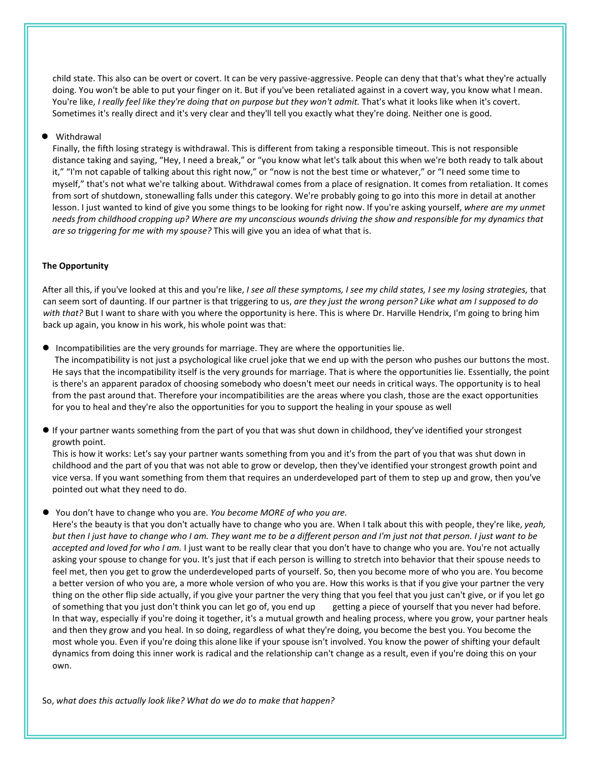child state. This also can be overt or covert. It can be very passive-aggressive. People can deny that that's what they're actually doing. You won't be able to put your finger on it. But if you've been retaliated against in a covert way, you know what Imean. You're like, *I really feel like they're doing that on purpose but they won't admit.* That's what it looks like when it's covert. Sometimes it's really direct and it's very clear and they'll tell you exactly what they're doing. Neither one is good.

# Withdrawal

Finally, the fifth losing strategy is withdrawal. This is different from taking a responsible timeout. This is not responsible distance taking and saying, "Hey, I need a break," or "you know what let's talk about this when we're both ready to talk about it," "I'm not capable of talking about this right now," or "now is not the best time or whatever," or "I need some time to myself," that's not what we're talking about. Withdrawal comes from a place of resignation. It comes from retaliation. It comes from sort of shutdown, stonewalling falls under this category. We're probably going to go into this more in detail at another lesson. I just wanted to kind of give you some things to be looking for right now. If you're asking yourself, *where are my unmet* needs from childhood cropping up? Where are my unconscious wounds driving the show and responsible for my dynamics that *are so triggering for me with my spouse?* This will give you an idea of what that is.

# **The Opportunity**

After all this, if you've looked at this and you're like, I see all these symptoms, I see my child states, I see my losing strategies, that can seem sort of daunting. If our partner is that triggering to us, *are they just the wrong person? Like what am Isupposed to do with that?* But I want to share with you where the opportunity is here. This is where Dr. Harville Hendrix, I'm going to bring him back up again, you know in his work, his whole point was that:

Incompatibilities are the very grounds for marriage. They are where the opportunities lie.

The incompatibility is not just a psychological like cruel joke that we end up with the person who pushes our buttons the most. He says that the incompatibility itself is the very grounds for marriage. That is where the opportunities lie. Essentially, the point is there's an apparent paradox of choosing somebody who doesn't meet our needs in critical ways. The opportunity is to heal from the past around that. Therefore your incompatibilities are the areas where you clash, those are the exact opportunities for you to heal and they're also the opportunities for you to support the healing in your spouse as well

 If your partner wants something from the part of you that was shut down in childhood, they've identified your strongest growth point.

This is how it works: Let's say your partner wants something from you and it's from the part of you that was shut down in childhood and the part of you that was not able to grow or develop, then they've identified your strongest growth point and vice versa. If you want something from them that requires an underdeveloped part of them to step up and grow, then you've pointed out what they need to do.

You don't have to change who you are. *You become MORE of who you are.*

Here's the beauty is that you don't actually have to change who you are. When I talk about this with people, they're like, *yeah,* but then I just have to change who I am. They want me to be a different person and I'm just not that person. I just want to be *accepted and loved for who I am.* I just want to be really clear that you don't have to change who you are. You're not actually asking your spouse to change for you. It's just that if each person is willing to stretch into behavior that their spouse needs to feel met, then you get to grow the underdeveloped parts of yourself. So, then you become more of who you are. You become a better version of who you are, a more whole version of who you are. How this works is that if you give your partner the very thing on the other flip side actually, if you give your partner the very thing that you feel that you just can't give, or ifyou let go of something that you just don't think you can let go of, you end up getting a piece of yourself that you never had before. In that way, especially if you're doing it together, it's a mutual growth and healing process, where you grow, your partner heals and then they grow and you heal. In so doing, regardless of what they're doing, you become the best you. You become the most whole you. Even if you're doing this alone like if yourspouse isn't involved. You know the power of shifting your default dynamics from doing this inner work is radical and the relationship can't change as a result, even if you're doing this on your own.

So, *what does this actually look like? What do we do to make that happen?*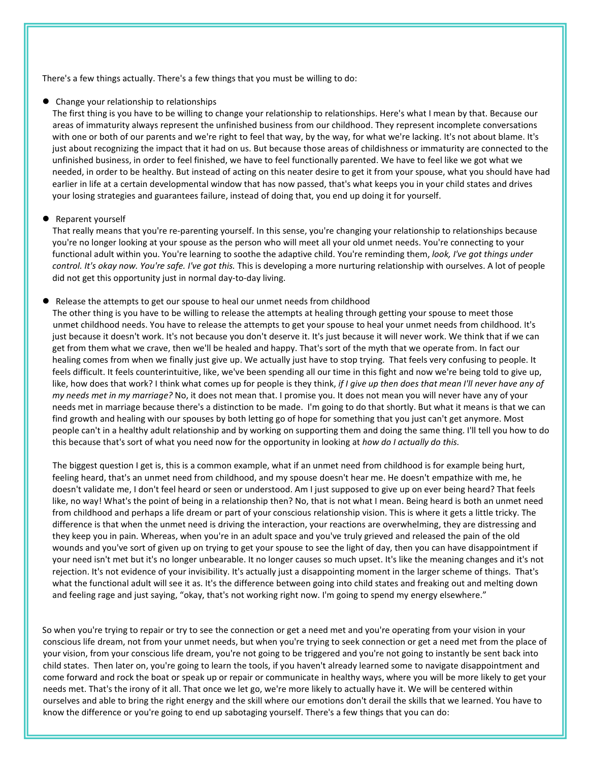There's a few things actually. There's a few things that you must be willing to do:

Change your relationship to relationships

The first thing is you have to be willing to change your relationship to relationships. Here's what I mean by that. Because our areas of immaturity always represent the unfinished business from our childhood. They represent incomplete conversations with one or both of our parents and we're right to feel that way, by the way, for what we're lacking. It's not about blame. It's just about recognizing the impact that it had on us. But because those areas of childishness or immaturity are connected to the unfinished business, in order to feel finished, we have to feel functionally parented. We have to feel like we got what we needed, in order to be healthy. But instead of acting on this neater desire to get it from your spouse, what you should have had earlier in life at a certain developmental window that has now passed, that's what keeps you in your child states and drives your losing strategies and guarantees failure, instead of doing that, you end up doing it for yourself.

#### ● Reparent yourself

That really means that you're re-parenting yourself. In this sense, you're changing your relationship to relationships because you're no longer looking at your spouse as the person who will meet all your old unmet needs. You're connecting to your functional adult within you. You're learning to soothe the adaptive child. You're reminding them, *look, I've got things under control. It's okay now. You're safe. I've got this.* This is developing a more nurturing relationship with ourselves. A lot of people did not get this opportunity just in normal day-to-day living.

### Release the attempts to get our spouse to heal our unmet needs from childhood

The other thing is you have to be willing to release the attempts at healing through getting your spouse to meet those unmet childhood needs. You have to release the attempts to get your spouse to heal your unmet needs from childhood. It's just because it doesn't work. It's not because you don't deserve it. It's just because it will never work. We think that if we can get from them what we crave, then we'll be healed and happy. That's sort of the myth that we operate from. In fact our healing comes from when we finally just give up. We actually just have to stop trying. That feels very confusing to people. It feels difficult. It feels counterintuitive, like, we've been spending all our time in this fight and now we're being told to give up, like, how does that work? I think what comes up for people is they think, *if I give up then does that mean I'll never have any of my needs met in my marriage?* No, itdoes not mean that. I promise you. It does not mean you will never have any of your needs met in marriage because there's a distinction to be made. I'm going to do that shortly. But what it means is that we can find growth and healing with our spouses by both letting go of hope for something that you just can't get anymore. Most people can't in a healthy adult relationship and by working on supporting them and doing the same thing. I'll tell you how to do this because that's sort of what you need now forthe opportunity in looking at *how do I actually do this.*

The biggest question I get is, this is a common example, what if an unmet need from childhood is for example being hurt,<br>feeling heard, that's an unmet need from childhood, and my spouse doesn't hear me. He doesn't empathi doesn't validate me, I don't feel heard or seen or understood. Am I just supposed to give up on everbeing heard? That feels like, no way! What's the point of being in a relationship then? No, that is not what I mean. Being heard is both an unmet need from childhood and perhaps a life dream or part of your conscious relationship vision. This is where it gets a little tricky. The difference is that when the unmet need is driving the interaction, your reactions are overwhelming, they are distressing and they keep you in pain. Whereas, when you're in an adult space and you've truly grieved and released the pain of the old wounds and you've sort of given up on trying to get your spouse to see the light of day, then you can have disappointment if your need isn't met but it's no longer unbearable. It no longer causes so much upset. It's like the meaning changes and it's not rejection. It's not evidence of your invisibility. It's actually just a disappointing moment in the larger scheme of things. That's what the functional adult will see it as. It's the difference between going into child states and freaking out and melting down and feeling rage and just saying, "okay, that's not working right now. I'm going to spend my energy elsewhere."

So when you're trying to repair or try to see the connection or get a need met and you're operating from your vision in your conscious life dream, not from your unmet needs, but when you're trying to seek connection or get a need met from the place of your vision, from your conscious life dream, you're not going to be triggered and you're not going to instantly be sent back into child states. Then later on, you're going to learn the tools, if you haven't already learned some to navigate disappointment and come forward and rock the boat or speak up or repair or communicate in healthy ways, where you will be more likely to get your needs met. That's the irony of it all. That once we let go, we're more likely to actually have it. We will be centered within ourselves and able to bring the right energy and the skill where our emotions don't derail the skills that we learned. You have to know the difference or you're going to end up sabotaging yourself. There's a few things that you can do: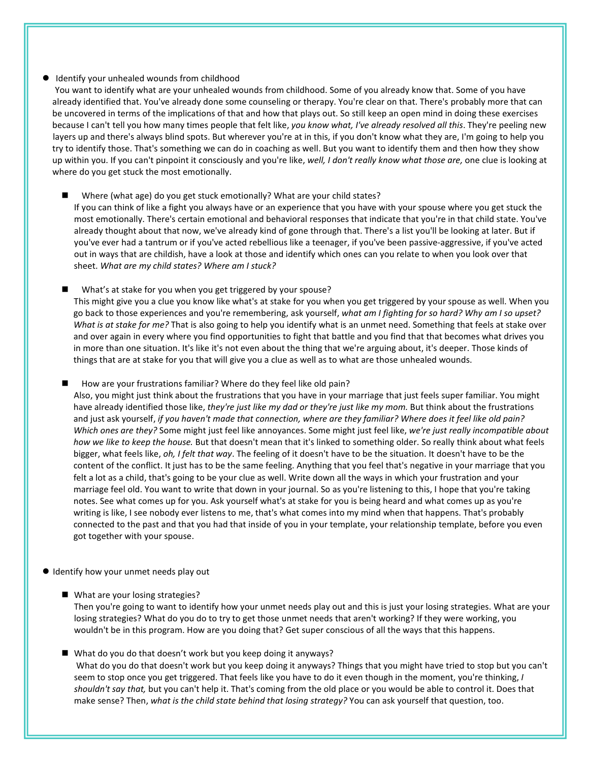# Identify your unhealed wounds from childhood

You want to identify what are your unhealed wounds from childhood. Some of you already know that. Some of you have already identified that. You've already done some counseling or therapy. You're clear on that. There's probably more that can be uncovered in terms of the implications of that and how that plays out. So still keep an open mind in doing these exercises because I can't tell you how many times people that felt like, *you know what,I've already resolved all this*. They're peeling new layers up and there's always blind spots. But wherever you're at in this, if you don't know what they are, I'm going to help you try to identify those. That's something we can do in coaching as well. But you want to identify them and then how they show up within you. If you can't pinpoint it consciously and you're like, *well, I don't really know what those are,* one clue is looking at where do you get stuck the most emotionally.

#### Where (what age) do you get stuck emotionally? What are your child states?

If you can think of like a fight you always have or an experience that you have with your spouse where you get stuck the most emotionally. There's certain emotional and behavioral responses that indicate that you're in that child state. You've already thought about that now, we've already kind of gone through that. There's a list you'll be looking at later. But if you've ever had a tantrum or if you've acted rebellious like a teenager, if you've been passive-aggressive, if you've acted out in ways that are childish, have a look at those and identify which ones can you relate to when you look overthat sheet. *What are my child states? Where am I stuck?*

What's at stake for you when you get triggered by your spouse? This might give you a clue you know like what's at stake for you when you get triggered by your spouse as well. When you go back to those experiences and you're remembering, ask yourself, *what am I fighting for so hard? Why am I so upset? What is at stake for me?* That is also going to help you identify what is an unmet need. Something that feels at stake over and over again in every where you find opportunities to fight that battle and you find that that becomes what drives you in more than one situation. It's like it's not even about the thing that we're arguing about, it's deeper. Those kinds of things that are at stake for you that will give you a clue as wellas to what are those unhealed wounds.

How are your frustrations familiar? Where do they feel like old pain?

Also, you might just think about the frustrations that you have in your marriage that just feels super familiar. You might have already identified those like, *they're just like my dad or they're just like my mom.* But think about the frustrations and just ask yourself, if you haven't made that connection, where are they familiar? Where does it feel like old pain? *Which ones are they?* Some might just feel like annoyances. Some might just feel like, *we're just really incompatible about how we like to keep the house.* But that doesn't mean that it's linked to something older. So really think about what feels bigger, what feels like, *oh, I felt that way*. The feeling of it doesn't have to be the situation. It doesn't have to be the content of the conflict. It just has to be the same feeling. Anything that you feel that's negative in your marriage that you felt a lot as a child, that's going to be your clue as well. Write down all the ways in which your frustration and your marriage feel old. You want to write that down in your journal. So as you're listening to this, I hope that you're taking notes. See what comes up for you. Ask yourself what's at stake for you is being heard and what comes up as you're writing is like, I see nobody everlistens to me, that's what comes into mymind when that happens. That's probably connected to the past and that you had that inside of you in your template, your relationship template, before you even got together with your spouse.

## $\bullet$  Identify how your unmet needs play out

■ What are your losing strategies?

Then you're going to want to identify how your unmet needs play out and this is just your losing strategies. What are your losing strategies? What do you do to try to get those unmet needs that aren't working? If they were working, you wouldn't be in this program. How are you doing that? Get super conscious of all the ways that this happens.

■ What do you do that doesn't work but you keep doing it anyways? What do you do that doesn't work but you keep doing it anyways? Things that you might have tried to stop but you can't seem to stop once you get triggered. That feels like you have to do it even though in the moment, you're thinking, *I shouldn't say that,* but you can't help it. That's coming from the old place or you would be able to control it. Does that make sense? Then, *what is the child state behind that losing strategy?* You can ask yourself that question, too.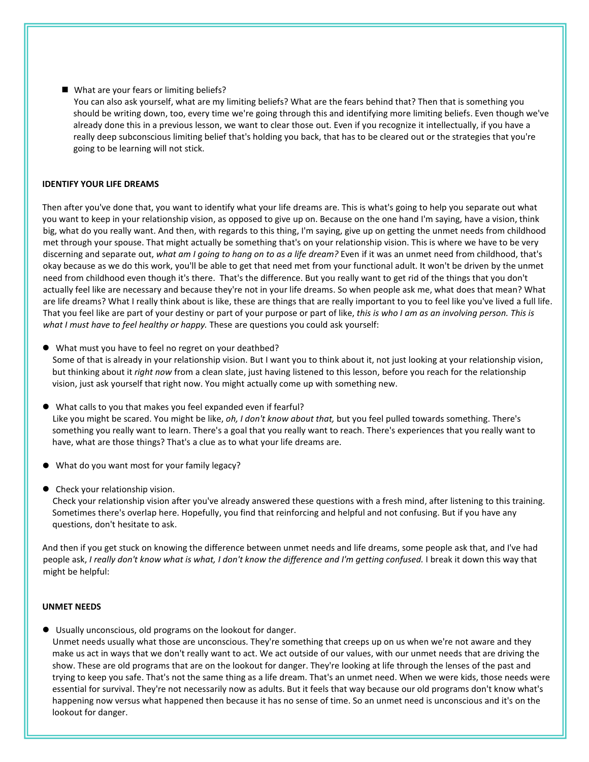What are your fears or limiting beliefs?

You can also ask yourself, what are my limiting beliefs? What are the fears behind that? Then that is something you should be writing down, too, every time we're going through this and identifying more limiting beliefs. Even though we've already done this in a previous lesson, we want to clear those out. Even if you recognize it intellectually, if you have a really deep subconscious limiting belief that's holding you back, that has to be cleared out or the strategies that you're going to be learning will not stick.

# **IDENTIFY YOUR LIFE DREAMS**

Then after you've done that, you want to identify what your life dreams are. This is what's going to help you separate out what you want to keep in your relationship vision, as opposed to give up on. Because on the one hand I'm saying, have a vision, think big, what do you really want. And then, with regards to this thing, I'm saying, give up on getting the unmet needs from childhood met through your spouse. That might actually be something that's on your relationship vision. This is where we have to be very discerning and separate out, *what am I going to hang on to as a life dream?* Even if it was an unmet need from childhood, that's okay because as we do this work, you'll be able to get that need met from your functional adult. It won't be driven by the unmet need from childhood even though it's there. That's the difference. But you really want to get rid of the things that you don't actually feel like are necessary and because they're not in your life dreams. So when people ask me, what does that mean? What are life dreams? What I really think about is like, these are things that are really important to you to feel like you've lived a full life. That you feel like are part of your destiny or part of your purpose or part of like, *this is who I am as an involving person. This is what I must have to feel healthy or happy.* These are questions you could ask yourself:

What must you have to feel no regret on your deathbed?

Some of that is already in your relationship vision. But I want you to think about it, not just looking at your relationship vision, but thinking about it *right now* from a clean slate, just having listened to this lesson, before you reach for the relationship vision, just ask yourself that right now. You might actually come up with something new.

- What calls to you thatmakes you feel expanded even if fearful? Like you might be scared. You might be like, *oh, I don't know about that,* but you feel pulled towards something. There's something you really want to learn. There's a goal that you really want to reach. There's experiences that you really want to have, what are those things? That's a clue as to what your life dreams are.
- What do you want most for your family legacy?
- Check your relationship vision.

Check your relationship vision after you've already answered these questions with a fresh mind, after listening to this training. Sometimes there's overlap here. Hopefully, you find that reinforcing and helpful and not confusing. But if you have any questions, don't hesitate to ask.

And then if you get stuck on knowing the difference between unmet needs and life dreams, some people ask that, and I've had people ask, I really don't know what is what, I don't know the difference and I'm getting confused. I break it down this way that might be helpful:

## **UNMET NEEDS**

Usually unconscious, old programs on the lookout for danger.

Unmet needs usually what those are unconscious. They're something that creeps up on us when we're not aware and they make us act in ways that we don't really want to act. We act outside of our values, with our unmet needs that are driving the show. These are old programs that are on the lookout for danger. They're looking at life through the lenses of the past and trying to keep you safe. That's not the same thing as a life dream. That's an unmet need. When we were kids, those needs were essential for survival. They're not necessarily now as adults. But it feels that way because our old programs don't know what's happening now versus what happened then because it has no sense of time. So an unmet need is unconscious and it's on the lookout for danger.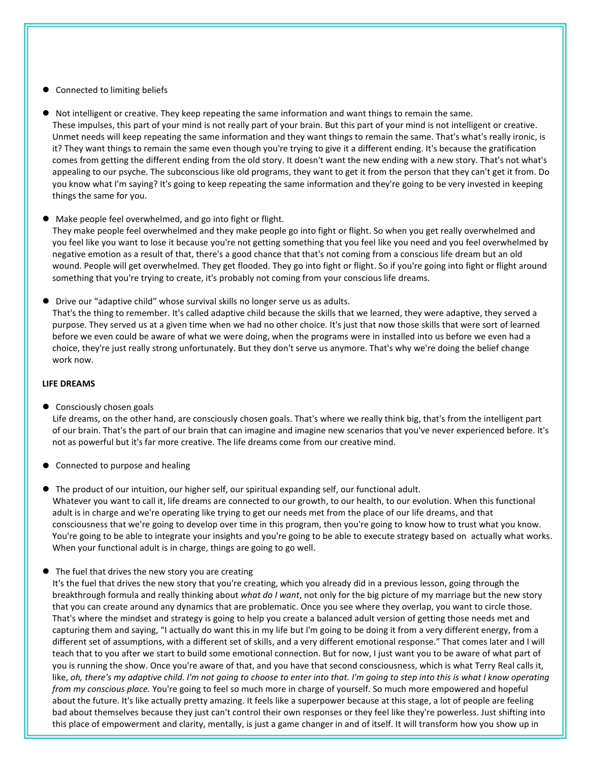# Connected to limiting beliefs

 Not intelligent or creative. They keep repeating the same information and want things to remain the same. These impulses, this part of your mind is not really part of your brain. But this part of your mind is not intelligent or creative. Unmet needs will keep repeating the same information and they want things to remain the same. That's what's really ironic, is it? They want things to remain the same even though you're trying to give it a different ending. It's because the gratification comes from getting the different ending from the old story. It doesn't want the new ending with a new story. That's not what's appealing to our psyche. The subconscious like old programs, they want to get it from the person that they can't get it from. Do you know what I'm saying? It'sgoing to keep repeating the same information and they're going to be very invested in keeping things the same for you.

# Make people feel overwhelmed, and go into fight or flight.

They make people feel overwhelmed and they make people go into fight or flight. So when you get really overwhelmed and you feel like you want to lose it because you're not getting something that you feel like you need and you feel overwhelmed by negative emotion as a result of that, there's a good chance that that's not coming from a conscious life dream but an old wound. People will get overwhelmed. They get flooded. They go into fight or flight. So if you're going into fight or flight around something that you're trying to create, it's probably not coming from your conscious life dreams.

 Drive our "adaptive child" whose survival skills no longer serve us as adults. That's the thing to remember. It's called adaptive child because the skills that we learned, they were adaptive, they served a purpose. They served us at a given time when we had no other choice. It's just that now those skills that were sort of learned before we even could be aware of what we were doing, when the programs were in installed into us before we even had a choice, they're just really strong unfortunately. But they don't serve us anymore. That's why we're doing the belief change work now.

# **LIFE DREAMS**

**•** Consciously chosen goals

Life dreams, on the other hand, are consciously chosen goals. That's where we really think big, that's from the intelligent part of our brain. That's the part of our brain that can imagine and imagine new scenarios that you've never experienced before. It's not as powerful but it's far more creative. The life dreams come from our creative mind.

- Connected to purpose and healing
- $\bullet$  The product of our intuition, our higher self, our spiritual expanding self, our functional adult. Whatever you want to call it, life dreams are connected to our growth, to our health, to our evolution. When this functional adult is in charge and we're operating like trying to get our needs met from the place of our life dreams, and that consciousness that we're going to develop over time in this program, then you're going to know how to trust what you know. You're going to be able to integrate your insights and you're going to be able to execute strategy based on actually what works. When your functional adult is in charge, things are going to go well.

# • The fuel that drives the new story you are creating

It's the fuel that drives the new story that you're creating, which you already did in a previous lesson, going through the breakthrough formula and really thinking about*what do I want*, not only for the big picture of my marriage but the new story that you can create around any dynamics that are problematic. Once you see where they overlap, you want to circle those. That's where the mindset and strategy is going to help you create a balanced adult version of getting those needs met and capturing them and saying, "I actually do want this in my life but I'm going to be doing it from a very different energy, from a different set of assumptions, with a different set of skills, and a very different emotional response." That comes later and I will teach that to you after we start to build some emotional connection. But for now, I just want you to be aware of what part of you is running the show. Once you're aware of that, and you have that second consciousness, which is what Terry Real calls it, like, oh, there's my adaptive child. I'm not going to choose to enter into that. I'm going to step into this is what I know operating *from my conscious place.* You're going to feel so much more in charge of yourself. So much more empowered and hopeful about the future. It's like actually pretty amazing. It feels like a superpower because at this stage, a lot of people are feeling bad about themselves because they just can't control their own responses or they feel like they're powerless. Just shifting into this place of empowerment and clarity, mentally, is just a game changer in and of itself. It will transform how you show up in